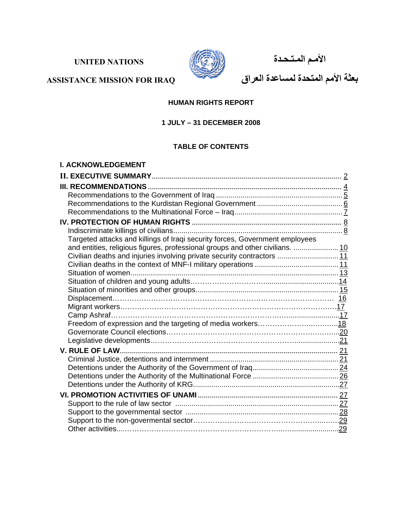# **UNITED NATIONS**



 **الأمـم المـتـحـدة** 

**بعثة الأمم المتحدة لمساعدة العراق**

# **ASSISTANCE MISSION FOR IRAQ**

### **HUMAN RIGHTS REPORT**

# **1 JULY – 31 DECEMBER 2008**

#### **TABLE OF CONTENTS**

| <b>I. ACKNOWLEDGEMENT</b>                                                     |  |
|-------------------------------------------------------------------------------|--|
|                                                                               |  |
|                                                                               |  |
|                                                                               |  |
|                                                                               |  |
|                                                                               |  |
|                                                                               |  |
|                                                                               |  |
| Targeted attacks and killings of Iraqi security forces, Government employees  |  |
| and entities, religious figures, professional groups and other civilians.  10 |  |
| Civilian deaths and injuries involving private security contractors  11       |  |
|                                                                               |  |
|                                                                               |  |
|                                                                               |  |
|                                                                               |  |
|                                                                               |  |
|                                                                               |  |
|                                                                               |  |
|                                                                               |  |
|                                                                               |  |
|                                                                               |  |
|                                                                               |  |
|                                                                               |  |
|                                                                               |  |
|                                                                               |  |
|                                                                               |  |
|                                                                               |  |
|                                                                               |  |
|                                                                               |  |
|                                                                               |  |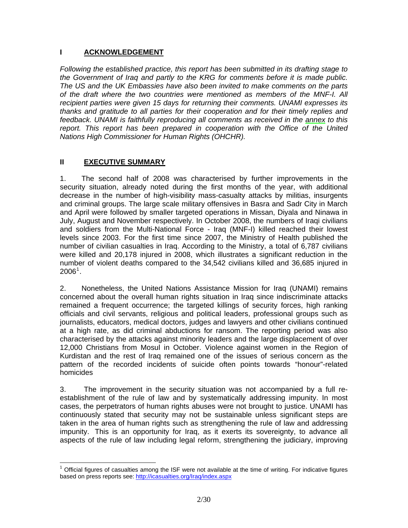### **I ACKNOWLEDGEMENT**

*Following the established practice, this report has been submitted in its drafting stage to the Government of Iraq and partly to the KRG for comments before it is made public. The US and the UK Embassies have also been invited to make comments on the parts of the draft where the two countries were mentioned as members of the MNF-I. All recipient parties were given 15 days for returning their comments. UNAMI expresses its thanks and gratitude to all parties for their cooperation and for their timely replies and feedback. UNAMI is faithfully reproducing all comments as received in the [annex](http://www.uniraq.org/documents/HR_Report_Dec2008_Annex_EN.pdf) to this*  report. This report has been prepared in cooperation with the Office of the United *Nations High Commissioner for Human Rights (OHCHR).* 

### **II EXECUTIVE SUMMARY**

 $\overline{a}$ 

1. The second half of 2008 was characterised by further improvements in the security situation, already noted during the first months of the year, with additional decrease in the number of high-visibility mass-casualty attacks by militias, insurgents and criminal groups. The large scale military offensives in Basra and Sadr City in March and April were followed by smaller targeted operations in Missan, Diyala and Ninawa in July, August and November respectively. In October 2008, the numbers of Iraqi civilians and soldiers from the Multi-National Force - Iraq (MNF-I) killed reached their lowest levels since 2003. For the first time since 2007, the Ministry of Health published the number of civilian casualties in Iraq. According to the Ministry, a total of 6,787 civilians were killed and 20,178 injured in 2008, which illustrates a significant reduction in the number of violent deaths compared to the 34,542 civilians killed and 36,685 injured in  $2006^1$  $2006^1$ .

2. Nonetheless, the United Nations Assistance Mission for Iraq (UNAMI) remains concerned about the overall human rights situation in Iraq since indiscriminate attacks remained a frequent occurrence; the targeted killings of security forces, high ranking officials and civil servants, religious and political leaders, professional groups such as journalists, educators, medical doctors, judges and lawyers and other civilians continued at a high rate, as did criminal abductions for ransom. The reporting period was also characterised by the attacks against minority leaders and the large displacement of over 12,000 Christians from Mosul in October. Violence against women in the Region of Kurdistan and the rest of Iraq remained one of the issues of serious concern as the pattern of the recorded incidents of suicide often points towards "honour"-related homicides

3. The improvement in the security situation was not accompanied by a full reestablishment of the rule of law and by systematically addressing impunity. In most cases, the perpetrators of human rights abuses were not brought to justice. UNAMI has continuously stated that security may not be sustainable unless significant steps are taken in the area of human rights such as strengthening the rule of law and addressing impunity. This is an opportunity for Iraq, as it exerts its sovereignty, to advance all aspects of the rule of law including legal reform, strengthening the judiciary, improving

<span id="page-1-0"></span> $1$  Official figures of casualties among the ISF were not available at the time of writing. For indicative figures based on press reports see:<http://icasualties.org/Iraq/index.aspx>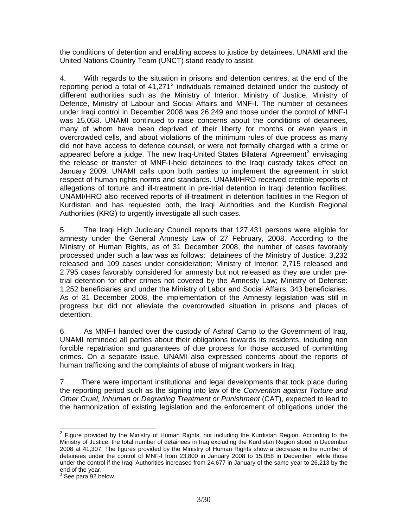the conditions of detention and enabling access to justice by detainees. UNAMI and the United Nations Country Team (UNCT) stand ready to assist.

4. With regards to the situation in prisons and detention centres, at the end of the reporting period a total of  $41,271^2$  $41,271^2$  $41,271^2$  individuals remained detained under the custody of different authorities such as the Ministry of Interior, Ministry of Justice, Ministry of Defence, Ministry of Labour and Social Affairs and MNF-I. The number of detainees under Iraqi control in December 2008 was 26,249 and those under the control of MNF-I was 15,058. UNAMI continued to raise concerns about the conditions of detainees, many of whom have been deprived of their liberty for months or even years in overcrowded cells, and about violations of the minimum rules of due process as many did not have access to defence counsel, or were not formally charged with a crime or appeared before a judge. The new Iraq-United States Bilateral Agreement<sup>[3](#page-2-1)</sup> envisaging the release or transfer of MNF-I-held detainees to the Iraqi custody takes effect on January 2009. UNAMI calls upon both parties to implement the agreement in strict respect of human rights norms and standards. UNAMI/HRO received credible reports of allegations of torture and ill-treatment in pre-trial detention in Iraqi detention facilities. UNAMI/HRO also received reports of ill-treatment in detention facilities in the Region of Kurdistan and has requested both, the Iraqi Authorities and the Kurdish Regional Authorities (KRG) to urgently investigate all such cases.

5. The Iraqi High Judiciary Council reports that 127,431 persons were eligible for amnesty under the General Amnesty Law of 27 February, 2008. According to the Ministry of Human Rights, as of 31 December 2008, the number of cases favorably processed under such a law was as follows: detainees of the Ministry of Justice: 3,232 released and 109 cases under consideration; Ministry of Interior: 2,715 released and 2,795 cases favorably considered for amnesty but not released as they are under pretrial detention for other crimes not covered by the Amnesty Law; Ministry of Defense: 1,252 beneficiaries and under the Ministry of Labor and Social Affairs: 343 beneficiaries. As of 31 December 2008, the implementation of the Amnesty legislation was still in progress but did not alleviate the overcrowded situation in prisons and places of detention.

6. As MNF-I handed over the custody of Ashraf Camp to the Government of Iraq, UNAMI reminded all parties about their obligations towards its residents, including non forcible repatriation and guarantees of due process for those accused of committing crimes. On a separate issue, UNAMI also expressed concerns about the reports of human trafficking and the complaints of abuse of migrant workers in Iraq.

7. There were important institutional and legal developments that took place during the reporting period such as the signing into law of the *Convention against Torture and Other Cruel, Inhuman or Degrading Treatment or Punishment* (CAT), expected to lead to the harmonization of existing legislation and the enforcement of obligations under the

<span id="page-2-0"></span>**EXECUTE:**<br><sup>2</sup> Figure provided by the Ministry of Human Rights, not including the Kurdistan Region. According to the Ministry of Justice, the total number of detainees in Iraq excluding the Kurdistan Region stood in December 2008 at 41,307. The figures provided by the Ministry of Human Rights show a decrease in the number of detainees under the control of MNF-I from 23,800 in January 2008 to 15,058 in December while those under the control if the Iraqi Authorities increased from 24,677 in January of the same year to 26,213 by the end of the year.<br><sup>3</sup> See nate 02 he

<span id="page-2-1"></span> $3$  See para.92 below.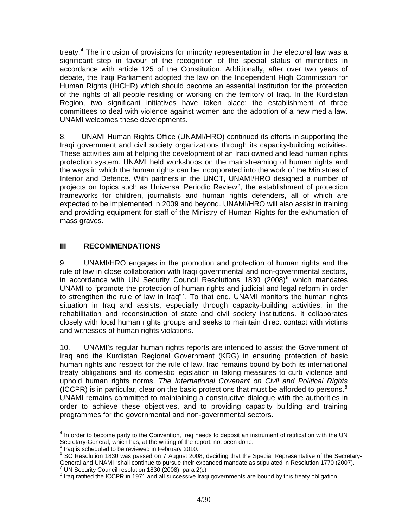treaty.<sup>[4](#page-3-0)</sup> The inclusion of provisions for minority representation in the electoral law was a significant step in favour of the recognition of the special status of minorities in accordance with article 125 of the Constitution. Additionally, after over two years of debate, the Iraqi Parliament adopted the law on the Independent High Commission for Human Rights (IHCHR) which should become an essential institution for the protection of the rights of all people residing or working on the territory of Iraq. In the Kurdistan Region, two significant initiatives have taken place: the establishment of three committees to deal with violence against women and the adoption of a new media law. UNAMI welcomes these developments.

8. UNAMI Human Rights Office (UNAMI/HRO) continued its efforts in supporting the Iraqi government and civil society organizations through its capacity-building activities. These activities aim at helping the development of an Iraqi owned and lead human rights protection system. UNAMI held workshops on the mainstreaming of human rights and the ways in which the human rights can be incorporated into the work of the Ministries of Interior and Defence. With partners in the UNCT, UNAMI/HRO designed a number of projects on topics such as Universal Periodic Review<sup>[5](#page-3-1)</sup>, the establishment of protection frameworks for children, journalists and human rights defenders, all of which are expected to be implemented in 2009 and beyond. UNAMI/HRO will also assist in training and providing equipment for staff of the Ministry of Human Rights for the exhumation of mass graves.

### **III RECOMMENDATIONS**

9. UNAMI/HRO engages in the promotion and protection of human rights and the rule of law in close collaboration with Iraqi governmental and non-governmental sectors, in accordance with UN Security Council Resolutions 1830  $(2008)^6$  $(2008)^6$  which mandates UNAMI to "promote the protection of human rights and judicial and legal reform in order to strengthen the rule of law in Iraq"<sup>[7](#page-3-3)</sup>. To that end, UNAMI monitors the human rights situation in Iraq and assists, especially through capacity-building activities, in the rehabilitation and reconstruction of state and civil society institutions. It collaborates closely with local human rights groups and seeks to maintain direct contact with victims and witnesses of human rights violations.

10. UNAMI's regular human rights reports are intended to assist the Government of Iraq and the Kurdistan Regional Government (KRG) in ensuring protection of basic human rights and respect for the rule of law. Iraq remains bound by both its international treaty obligations and its domestic legislation in taking measures to curb violence and uphold human rights norms. *The International Covenant on Civil and Political Rights* (ICCPR) is in particular, clear on the basic protections that must be afforded to persons. $8$ UNAMI remains committed to maintaining a constructive dialogue with the authorities in order to achieve these objectives, and to providing capacity building and training programmes for the governmental and non-governmental sectors.

 $\overline{a}$ 

<span id="page-3-0"></span><sup>&</sup>lt;sup>4</sup> In order to become party to the Convention, Iraq needs to deposit an instrument of ratification with the UN Secretary-General, which has, at the writing of the report, not been done.

<span id="page-3-1"></span> $<sup>5</sup>$  Iraq is scheduled to be reviewed in February 2010.</sup>

<span id="page-3-2"></span><sup>&</sup>lt;sup>6</sup> SC Resolution 1830 was passed on 7 August 2008, deciding that the Special Representative of the Secretary-General and UNAMI "shall continue to pursue their expanded mandate as stipulated in Resolution 1770 (2007). UN Security Council resolution 1830 (2008), para 2(c)

<span id="page-3-4"></span><span id="page-3-3"></span><sup>&</sup>lt;sup>8</sup> Iraq ratified the ICCPR in 1971 and all successive Iraqi governments are bound by this treaty obligation.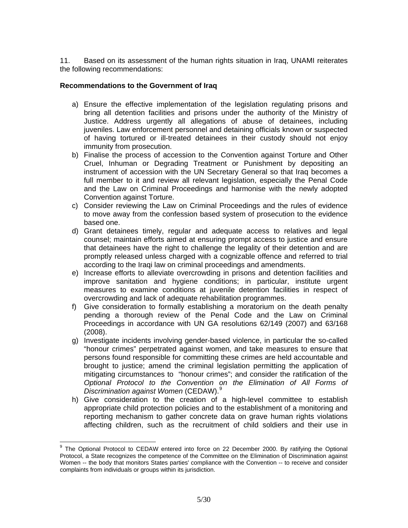11. Based on its assessment of the human rights situation in Iraq, UNAMI reiterates the following recommendations:

### **Recommendations to the Government of Iraq**

- a) Ensure the effective implementation of the legislation regulating prisons and bring all detention facilities and prisons under the authority of the Ministry of Justice. Address urgently all allegations of abuse of detainees, including juveniles. Law enforcement personnel and detaining officials known or suspected of having tortured or ill-treated detainees in their custody should not enjoy immunity from prosecution.
- b) Finalise the process of accession to the Convention against Torture and Other Cruel, Inhuman or Degrading Treatment or Punishment by depositing an instrument of accession with the UN Secretary General so that Iraq becomes a full member to it and review all relevant legislation, especially the Penal Code and the Law on Criminal Proceedings and harmonise with the newly adopted Convention against Torture.
- c) Consider reviewing the Law on Criminal Proceedings and the rules of evidence to move away from the confession based system of prosecution to the evidence based one.
- d) Grant detainees timely, regular and adequate access to relatives and legal counsel; maintain efforts aimed at ensuring prompt access to justice and ensure that detainees have the right to challenge the legality of their detention and are promptly released unless charged with a cognizable offence and referred to trial according to the Iraqi law on criminal proceedings and amendments.
- e) Increase efforts to alleviate overcrowding in prisons and detention facilities and improve sanitation and hygiene conditions; in particular, institute urgent measures to examine conditions at juvenile detention facilities in respect of overcrowding and lack of adequate rehabilitation programmes.
- f) Give consideration to formally establishing a moratorium on the death penalty pending a thorough review of the Penal Code and the Law on Criminal Proceedings in accordance with UN GA resolutions 62/149 (2007) and 63/168 (2008).
- g) Investigate incidents involving gender-based violence, in particular the so-called "honour crimes" perpetrated against women, and take measures to ensure that persons found responsible for committing these crimes are held accountable and brought to justice; amend the criminal legislation permitting the application of mitigating circumstances to "honour crimes"; and consider the ratification of the *Optional Protocol to the Convention on the Elimination of All Forms of Discrimination against Women* (CEDAW).[9](#page-4-0)
- h) Give consideration to the creation of a high-level committee to establish appropriate child protection policies and to the establishment of a monitoring and reporting mechanism to gather concrete data on grave human rights violations affecting children, such as the recruitment of child soldiers and their use in

<span id="page-4-0"></span>The Optional Protocol to CEDAW entered into force on 22 December 2000. By ratifying the Optional Protocol, a State recognizes the competence of the Committee on the Elimination of Discrimination against Women -- the body that monitors States parties' compliance with the Convention -- to receive and consider complaints from individuals or groups within its jurisdiction.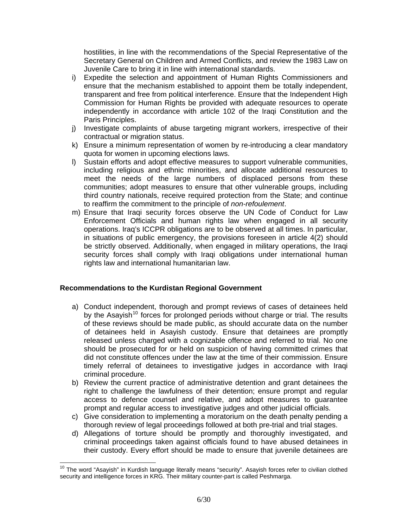hostilities, in line with the recommendations of the Special Representative of the Secretary General on Children and Armed Conflicts, and review the 1983 Law on Juvenile Care to bring it in line with international standards.

- i) Expedite the selection and appointment of Human Rights Commissioners and ensure that the mechanism established to appoint them be totally independent, transparent and free from political interference. Ensure that the Independent High Commission for Human Rights be provided with adequate resources to operate independently in accordance with article 102 of the Iraqi Constitution and the Paris Principles.
- j) Investigate complaints of abuse targeting migrant workers, irrespective of their contractual or migration status.
- k) Ensure a minimum representation of women by re-introducing a clear mandatory quota for women in upcoming elections laws.
- l) Sustain efforts and adopt effective measures to support vulnerable communities, including religious and ethnic minorities, and allocate additional resources to meet the needs of the large numbers of displaced persons from these communities; adopt measures to ensure that other vulnerable groups, including third country nationals, receive required protection from the State; and continue to reaffirm the commitment to the principle of *non-refoulement*.
- m) Ensure that Iraqi security forces observe the UN Code of Conduct for Law Enforcement Officials and human rights law when engaged in all security operations. Iraq's ICCPR obligations are to be observed at all times. In particular, in situations of public emergency, the provisions foreseen in article 4(2) should be strictly observed. Additionally, when engaged in military operations, the Iraqi security forces shall comply with Iraqi obligations under international human rights law and international humanitarian law.

### **Recommendations to the Kurdistan Regional Government**

 $\overline{a}$ 

- a) Conduct independent, thorough and prompt reviews of cases of detainees held by the Asayish<sup>[10](#page-5-0)</sup> forces for prolonged periods without charge or trial. The results of these reviews should be made public, as should accurate data on the number of detainees held in Asayish custody. Ensure that detainees are promptly released unless charged with a cognizable offence and referred to trial. No one should be prosecuted for or held on suspicion of having committed crimes that did not constitute offences under the law at the time of their commission. Ensure timely referral of detainees to investigative judges in accordance with Iraqi criminal procedure.
- b) Review the current practice of administrative detention and grant detainees the right to challenge the lawfulness of their detention; ensure prompt and regular access to defence counsel and relative, and adopt measures to guarantee prompt and regular access to investigative judges and other judicial officials.
- c) Give consideration to implementing a moratorium on the death penalty pending a thorough review of legal proceedings followed at both pre-trial and trial stages.
- d) Allegations of torture should be promptly and thoroughly investigated, and criminal proceedings taken against officials found to have abused detainees in their custody. Every effort should be made to ensure that juvenile detainees are

<span id="page-5-0"></span><sup>&</sup>lt;sup>10</sup> The word "Asayish" in Kurdish language literally means "security". Asayish forces refer to civilian clothed security and intelligence forces in KRG. Their military counter-part is called Peshmarga.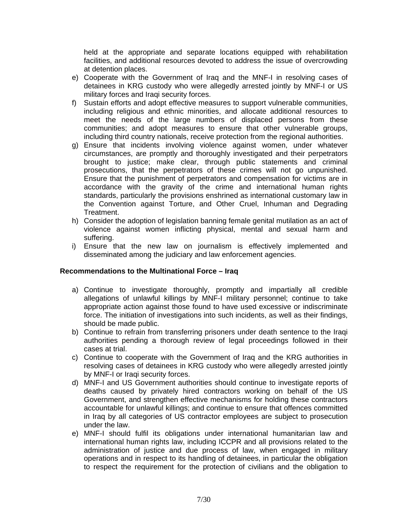held at the appropriate and separate locations equipped with rehabilitation facilities, and additional resources devoted to address the issue of overcrowding at detention places.

- e) Cooperate with the Government of Iraq and the MNF-I in resolving cases of detainees in KRG custody who were allegedly arrested jointly by MNF-I or US military forces and Iraqi security forces.
- f) Sustain efforts and adopt effective measures to support vulnerable communities, including religious and ethnic minorities, and allocate additional resources to meet the needs of the large numbers of displaced persons from these communities; and adopt measures to ensure that other vulnerable groups, including third country nationals, receive protection from the regional authorities.
- g) Ensure that incidents involving violence against women, under whatever circumstances, are promptly and thoroughly investigated and their perpetrators brought to justice; make clear, through public statements and criminal prosecutions, that the perpetrators of these crimes will not go unpunished. Ensure that the punishment of perpetrators and compensation for victims are in accordance with the gravity of the crime and international human rights standards, particularly the provisions enshrined as international customary law in the Convention against Torture, and Other Cruel, Inhuman and Degrading Treatment.
- h) Consider the adoption of legislation banning female genital mutilation as an act of violence against women inflicting physical, mental and sexual harm and suffering.
- i) Ensure that the new law on journalism is effectively implemented and disseminated among the judiciary and law enforcement agencies.

### **Recommendations to the Multinational Force – Iraq**

- a) Continue to investigate thoroughly, promptly and impartially all credible allegations of unlawful killings by MNF-I military personnel; continue to take appropriate action against those found to have used excessive or indiscriminate force. The initiation of investigations into such incidents, as well as their findings, should be made public.
- b) Continue to refrain from transferring prisoners under death sentence to the Iraqi authorities pending a thorough review of legal proceedings followed in their cases at trial.
- c) Continue to cooperate with the Government of Iraq and the KRG authorities in resolving cases of detainees in KRG custody who were allegedly arrested jointly by MNF-I or Iraqi security forces.
- d) MNF-I and US Government authorities should continue to investigate reports of deaths caused by privately hired contractors working on behalf of the US Government, and strengthen effective mechanisms for holding these contractors accountable for unlawful killings; and continue to ensure that offences committed in Iraq by all categories of US contractor employees are subject to prosecution under the law.
- e) MNF-I should fulfil its obligations under international humanitarian law and international human rights law, including ICCPR and all provisions related to the administration of justice and due process of law, when engaged in military operations and in respect to its handling of detainees, in particular the obligation to respect the requirement for the protection of civilians and the obligation to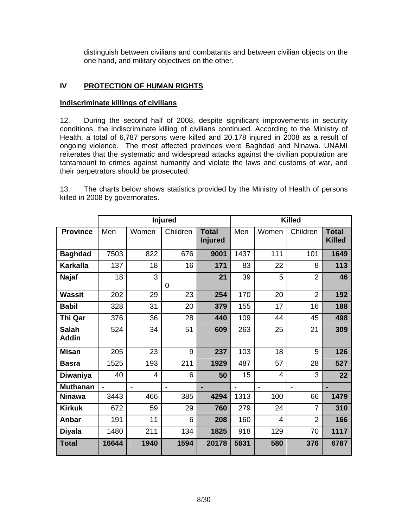distinguish between civilians and combatants and between civilian objects on the one hand, and military objectives on the other.

# **IV PROTECTION OF HUMAN RIGHTS**

### **Indiscriminate killings of civilians**

12. During the second half of 2008, despite significant improvements in security conditions, the indiscriminate killing of civilians continued. According to the Ministry of Health, a total of 6,787 persons were killed and 20,178 injured in 2008 as a result of ongoing violence. The most affected provinces were Baghdad and Ninawa. UNAMI reiterates that the systematic and widespread attacks against the civilian population are tantamount to crimes against humanity and violate the laws and customs of war, and their perpetrators should be prosecuted.

13. The charts below shows statistics provided by the Ministry of Health of persons killed in 2008 by governorates.

|                              | <b>Injured</b> |                |          |                                | <b>Killed</b>  |                |                |                               |
|------------------------------|----------------|----------------|----------|--------------------------------|----------------|----------------|----------------|-------------------------------|
| <b>Province</b>              | Men            | Women          | Children | <b>Total</b><br><b>Injured</b> | Men            | Women          | Children       | <b>Total</b><br><b>Killed</b> |
| <b>Baghdad</b>               | 7503           | 822            | 676      | 9001                           | 1437           | 111            | 101            | 1649                          |
| <b>Karkalla</b>              | 137            | 18             | 16       | 171                            | 83             | 22             | 8              | 113                           |
| <b>Najaf</b>                 | 18             | 3              | 0        | 21                             | 39             | 5              | $\overline{2}$ | 46                            |
| <b>Wassit</b>                | 202            | 29             | 23       | 254                            | 170            | 20             | $\overline{2}$ | 192                           |
| <b>Babil</b>                 | 328            | 31             | 20       | 379                            | 155            | 17             | 16             | 188                           |
| Thi Qar                      | 376            | 36             | 28       | 440                            | 109            | 44             | 45             | 498                           |
| <b>Salah</b><br><b>Addin</b> | 524            | 34             | 51       | 609                            | 263            | 25             | 21             | 309                           |
| <b>Misan</b>                 | 205            | 23             | 9        | 237                            | 103            | 18             | 5              | 126                           |
| <b>Basra</b>                 | 1525           | 193            | 211      | 1929                           | 487            | 57             | 28             | 527                           |
| Diwaniya                     | 40             | 4              | 6        | 50                             | 15             | 4              | 3              | 22                            |
| <b>Muthanan</b>              |                | $\overline{a}$ |          |                                | $\overline{a}$ | $\overline{a}$ | $\blacksquare$ |                               |
| <b>Ninawa</b>                | 3443           | 466            | 385      | 4294                           | 1313           | 100            | 66             | 1479                          |
| <b>Kirkuk</b>                | 672            | 59             | 29       | 760                            | 279            | 24             | $\overline{7}$ | 310                           |
| Anbar                        | 191            | 11             | 6        | 208                            | 160            | $\overline{4}$ | $\overline{2}$ | 166                           |
| <b>Diyala</b>                | 1480           | 211            | 134      | 1825                           | 918            | 129            | 70             | 1117                          |
| <b>Total</b>                 | 16644          | 1940           | 1594     | 20178                          | 5831           | 580            | 376            | 6787                          |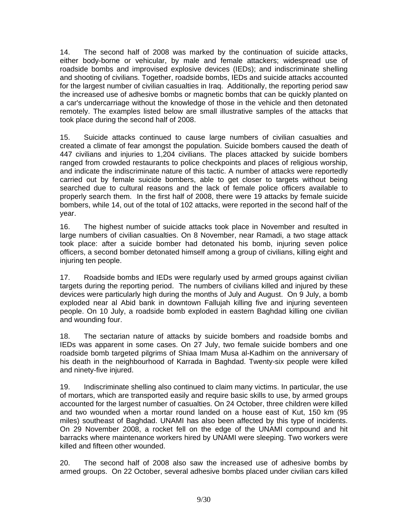14. The second half of 2008 was marked by the continuation of suicide attacks, either body-borne or vehicular, by male and female attackers; widespread use of roadside bombs and improvised explosive devices (IEDs); and indiscriminate shelling and shooting of civilians. Together, roadside bombs, IEDs and suicide attacks accounted for the largest number of civilian casualties in Iraq. Additionally, the reporting period saw the increased use of adhesive bombs or magnetic bombs that can be quickly planted on a car's undercarriage without the knowledge of those in the vehicle and then detonated remotely. The examples listed below are small illustrative samples of the attacks that took place during the second half of 2008.

15. Suicide attacks continued to cause large numbers of civilian casualties and created a climate of fear amongst the population. Suicide bombers caused the death of 447 civilians and injuries to 1,204 civilians. The places attacked by suicide bombers ranged from crowded restaurants to police checkpoints and places of religious worship, and indicate the indiscriminate nature of this tactic. A number of attacks were reportedly carried out by female suicide bombers, able to get closer to targets without being searched due to cultural reasons and the lack of female police officers available to properly search them. In the first half of 2008, there were 19 attacks by female suicide bombers, while 14, out of the total of 102 attacks, were reported in the second half of the year.

16. The highest number of suicide attacks took place in November and resulted in large numbers of civilian casualties. On 8 November, near Ramadi, a two stage attack took place: after a suicide bomber had detonated his bomb, injuring seven police officers, a second bomber detonated himself among a group of civilians, killing eight and injuring ten people.

17. Roadside bombs and IEDs were regularly used by armed groups against civilian targets during the reporting period. The numbers of civilians killed and injured by these devices were particularly high during the months of July and August. On 9 July, a bomb exploded near al Abid bank in downtown Fallujah killing five and injuring seventeen people. On 10 July, a roadside bomb exploded in eastern Baghdad killing one civilian and wounding four.

18. The sectarian nature of attacks by suicide bombers and roadside bombs and IEDs was apparent in some cases. On 27 July, two female suicide bombers and one roadside bomb targeted pilgrims of Shiaa Imam Musa al-Kadhim on the anniversary of his death in the neighbourhood of Karrada in Baghdad. Twenty-six people were killed and ninety-five injured.

19. Indiscriminate shelling also continued to claim many victims. In particular, the use of mortars, which are transported easily and require basic skills to use, by armed groups accounted for the largest number of casualties. On 24 October, three children were killed and two wounded when a mortar round landed on a house east of Kut, 150 km (95 miles) southeast of Baghdad. UNAMI has also been affected by this type of incidents. On 29 November 2008, a rocket fell on the edge of the UNAMI compound and hit barracks where maintenance workers hired by UNAMI were sleeping. Two workers were killed and fifteen other wounded.

20. The second half of 2008 also saw the increased use of adhesive bombs by armed groups. On 22 October, several adhesive bombs placed under civilian cars killed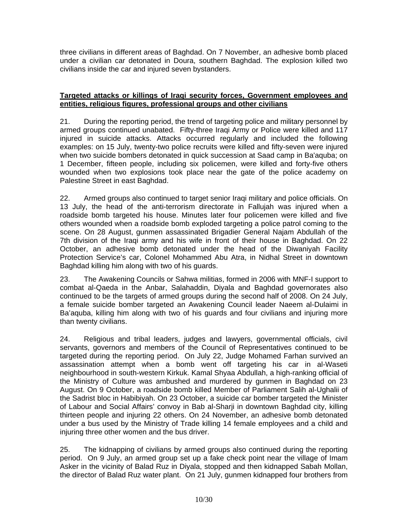three civilians in different areas of Baghdad. On 7 November, an adhesive bomb placed under a civilian car detonated in Doura, southern Baghdad. The explosion killed two civilians inside the car and injured seven bystanders.

### **Targeted attacks or killings of Iraqi security forces, Government employees and entities, religious figures, professional groups and other civilians**

21. During the reporting period, the trend of targeting police and military personnel by armed groups continued unabated. Fifty-three Iraqi Army or Police were killed and 117 injured in suicide attacks. Attacks occurred regularly and included the following examples: on 15 July, twenty-two police recruits were killed and fifty-seven were injured when two suicide bombers detonated in quick succession at Saad camp in Ba'aquba; on 1 December, fifteen people, including six policemen, were killed and forty-five others wounded when two explosions took place near the gate of the police academy on Palestine Street in east Baghdad.

22. Armed groups also continued to target senior Iraqi military and police officials. On 13 July, the head of the anti-terrorism directorate in Fallujah was injured when a roadside bomb targeted his house. Minutes later four policemen were killed and five others wounded when a roadside bomb exploded targeting a police patrol coming to the scene. On 28 August, gunmen assassinated Brigadier General Najam Abdullah of the 7th division of the Iraqi army and his wife in front of their house in Baghdad. On 22 October, an adhesive bomb detonated under the head of the Diwaniyah Facility Protection Service's car, Colonel Mohammed Abu Atra, in Nidhal Street in downtown Baghdad killing him along with two of his guards.

23. The Awakening Councils or Sahwa militias, formed in 2006 with MNF-I support to combat al-Qaeda in the Anbar, Salahaddin, Diyala and Baghdad governorates also continued to be the targets of armed groups during the second half of 2008. On 24 July, a female suicide bomber targeted an Awakening Council leader Naeem al-Dulaimi in Ba'aquba, killing him along with two of his guards and four civilians and injuring more than twenty civilians.

24. Religious and tribal leaders, judges and lawyers, governmental officials, civil servants, governors and members of the Council of Representatives continued to be targeted during the reporting period. On July 22, Judge Mohamed Farhan survived an assassination attempt when a bomb went off targeting his car in al-Waseti neighbourhood in south-western Kirkuk. Kamal Shyaa Abdullah, a high-ranking official of the Ministry of Culture was ambushed and murdered by gunmen in Baghdad on 23 August. On 9 October, a roadside bomb killed Member of Parliament Salih al-Ughalii of the Sadrist bloc in Habibiyah. On 23 October, a suicide car bomber targeted the Minister of Labour and Social Affairs' convoy in Bab al-Sharji in downtown Baghdad city, killing thirteen people and injuring 22 others. On 24 November, an adhesive bomb detonated under a bus used by the Ministry of Trade killing 14 female employees and a child and injuring three other women and the bus driver.

25. The kidnapping of civilians by armed groups also continued during the reporting period. On 9 July, an armed group set up a fake check point near the village of Imam Asker in the vicinity of Balad Ruz in Diyala, stopped and then kidnapped Sabah Mollan, the director of Balad Ruz water plant. On 21 July, gunmen kidnapped four brothers from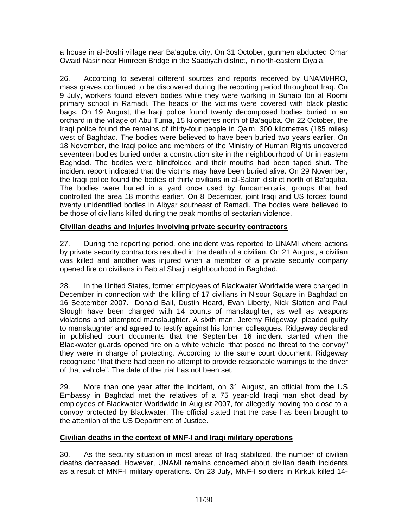a house in al-Boshi village near Ba'aquba city**.** On 31 October, gunmen abducted Omar Owaid Nasir near Himreen Bridge in the Saadiyah district, in north-eastern Diyala.

26. According to several different sources and reports received by UNAMI/HRO, mass graves continued to be discovered during the reporting period throughout Iraq. On 9 July, workers found eleven bodies while they were working in Suhaib Ibn al Roomi primary school in Ramadi. The heads of the victims were covered with black plastic bags. On 19 August, the Iraqi police found twenty decomposed bodies buried in an orchard in the village of Abu Tuma, 15 kilometres north of Ba'aquba. On 22 October, the Iraqi police found the remains of thirty-four people in Qaim, 300 kilometres (185 miles) west of Baghdad. The bodies were believed to have been buried two years earlier. On 18 November, the Iraqi police and members of the Ministry of Human Rights uncovered seventeen bodies buried under a construction site in the neighbourhood of Ur in eastern Baghdad. The bodies were blindfolded and their mouths had been taped shut. The incident report indicated that the victims may have been buried alive. On 29 November, the Iraqi police found the bodies of thirty civilians in al-Salam district north of Ba'aquba. The bodies were buried in a yard once used by fundamentalist groups that had controlled the area 18 months earlier. On 8 December, joint Iraqi and US forces found twenty unidentified bodies in Albyar southeast of Ramadi. The bodies were believed to be those of civilians killed during the peak months of sectarian violence.

# **Civilian deaths and injuries involving private security contractors**

27. During the reporting period, one incident was reported to UNAMI where actions by private security contractors resulted in the death of a civilian. On 21 August, a civilian was killed and another was injured when a member of a private security company opened fire on civilians in Bab al Sharji neighbourhood in Baghdad.

28. In the United States, former employees of Blackwater Worldwide were charged in December in connection with the killing of 17 civilians in Nisour Square in Baghdad on 16 September 2007. Donald Ball, Dustin Heard, Evan Liberty, Nick Slatten and Paul Slough have been charged with 14 counts of manslaughter, as well as weapons violations and attempted manslaughter. A sixth man, Jeremy Ridgeway, pleaded guilty to manslaughter and agreed to testify against his former colleagues. Ridgeway declared in published court documents that the September 16 incident started when the Blackwater guards opened fire on a white vehicle "that posed no threat to the convoy" they were in charge of protecting. According to the same court document, Ridgeway recognized "that there had been no attempt to provide reasonable warnings to the driver of that vehicle". The date of the trial has not been set.

29. More than one year after the incident, on 31 August, an official from the US Embassy in Baghdad met the relatives of a 75 year-old Iraqi man shot dead by employees of Blackwater Worldwide in August 2007, for allegedly moving too close to a convoy protected by Blackwater. The official stated that the case has been brought to the attention of the US Department of Justice.

# **Civilian deaths in the context of MNF-I and Iraqi military operations**

30. As the security situation in most areas of Iraq stabilized, the number of civilian deaths decreased. However, UNAMI remains concerned about civilian death incidents as a result of MNF-I military operations. On 23 July, MNF-I soldiers in Kirkuk killed 14-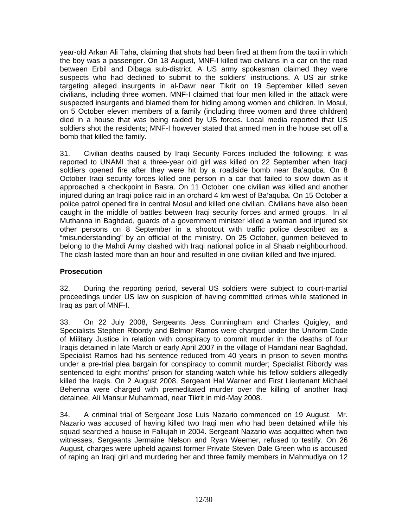year-old Arkan Ali Taha, claiming that shots had been fired at them from the taxi in which the boy was a passenger. On 18 August, MNF-I killed two civilians in a car on the road between Erbil and Dibaga sub-district. A US army spokesman claimed they were suspects who had declined to submit to the soldiers' instructions. A US air strike targeting alleged insurgents in al-Dawr near Tikrit on 19 September killed seven civilians, including three women. MNF-I claimed that four men killed in the attack were suspected insurgents and blamed them for hiding among women and children. In Mosul, on 5 October eleven members of a family (including three women and three children) died in a house that was being raided by US forces. Local media reported that US soldiers shot the residents; MNF-I however stated that armed men in the house set off a bomb that killed the family.

31. Civilian deaths caused by Iraqi Security Forces included the following: it was reported to UNAMI that a three-year old girl was killed on 22 September when Iraqi soldiers opened fire after they were hit by a roadside bomb near Ba'aquba. On 8 October Iraqi security forces killed one person in a car that failed to slow down as it approached a checkpoint in Basra. On 11 October, one civilian was killed and another injured during an Iraqi police raid in an orchard 4 km west of Ba'aquba. On 15 October a police patrol opened fire in central Mosul and killed one civilian. Civilians have also been caught in the middle of battles between Iraqi security forces and armed groups. In al Muthanna in Baghdad, guards of a government minister killed a woman and injured six other persons on 8 September in a shootout with traffic police described as a "misunderstanding" by an official of the ministry. On 25 October, gunmen believed to belong to the Mahdi Army clashed with Iraqi national police in al Shaab neighbourhood. The clash lasted more than an hour and resulted in one civilian killed and five injured.

# **Prosecution**

32. During the reporting period, several US soldiers were subject to court-martial proceedings under US law on suspicion of having committed crimes while stationed in Iraq as part of MNF-I.

33. On 22 July 2008, Sergeants Jess Cunningham and Charles Quigley, and Specialists Stephen Ribordy and Belmor Ramos were charged under the Uniform Code of Military Justice in relation with conspiracy to commit murder in the deaths of four Iraqis detained in late March or early April 2007 in the village of Hamdani near Baghdad. Specialist Ramos had his sentence reduced from 40 years in prison to seven months under a pre-trial plea bargain for conspiracy to commit murder; Specialist Ribordy was sentenced to eight months' prison for standing watch while his fellow soldiers allegedly killed the Iraqis. On 2 August 2008, Sergeant Hal Warner and First Lieutenant Michael Behenna were charged with premeditated murder over the killing of another Iraqi detainee, Ali Mansur Muhammad, near Tikrit in mid-May 2008.

34. A criminal trial of Sergeant Jose Luis Nazario commenced on 19 August. Mr. Nazario was accused of having killed two Iraqi men who had been detained while his squad searched a house in Fallujah in 2004. Sergeant Nazario was acquitted when two witnesses, Sergeants Jermaine Nelson and Ryan Weemer, refused to testify. On 26 August, charges were upheld against former Private Steven Dale Green who is accused of raping an Iraqi girl and murdering her and three family members in Mahmudiya on 12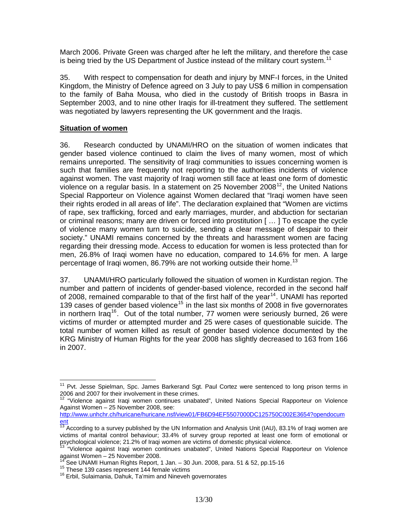March 2006. Private Green was charged after he left the military, and therefore the case is being tried by the US Department of Justice instead of the military court system.<sup>[11](#page-12-0)</sup>

35. With respect to compensation for death and injury by MNF-I forces, in the United Kingdom, the Ministry of Defence agreed on 3 July to pay US\$ 6 million in compensation to the family of Baha Mousa, who died in the custody of British troops in Basra in September 2003, and to nine other Iraqis for ill-treatment they suffered. The settlement was negotiated by lawyers representing the UK government and the Iraqis.

#### **Situation of women**

36. Research conducted by UNAMI/HRO on the situation of women indicates that gender based violence continued to claim the lives of many women, most of which remains unreported. The sensitivity of Iraqi communities to issues concerning women is such that families are frequently not reporting to the authorities incidents of violence against women. The vast majority of Iraqi women still face at least one form of domestic violence on a regular basis. In a statement on 25 November 2008 $12$ , the United Nations Special Rapporteur on Violence against Women declared that "Iraqi women have seen their rights eroded in all areas of life". The declaration explained that "Women are victims of rape, sex trafficking, forced and early marriages, murder, and abduction for sectarian or criminal reasons; many are driven or forced into prostitution [ … ] To escape the cycle of violence many women turn to suicide, sending a clear message of despair to their society." UNAMI remains concerned by the threats and harassment women are facing regarding their dressing mode. Access to education for women is less protected than for men, 26.8% of Iraqi women have no education, compared to 14.6% for men. A large percentage of Iragi women, 86.79% are not working outside their home.<sup>[13](#page-12-2)</sup>

37. UNAMI/HRO particularly followed the situation of women in Kurdistan region. The number and pattern of incidents of gender-based violence, recorded in the second half of 2008, remained comparable to that of the first half of the year<sup>[14](#page-12-3)</sup>. UNAMI has reported 139 cases of gender based violence<sup>[15](#page-12-4)</sup> in the last six months of 2008 in five governorates in northern Iraq<sup>[16](#page-12-5)</sup>. Out of the total number, 77 women were seriously burned, 26 were victims of murder or attempted murder and 25 were cases of questionable suicide. The total number of women killed as result of gender based violence documented by the KRG Ministry of Human Rights for the year 2008 has slightly decreased to 163 from 166 in 2007.

l

<span id="page-12-0"></span><sup>&</sup>lt;sup>11</sup> Pvt. Jesse Spielman, Spc. James Barkerand Sgt. Paul Cortez were sentenced to long prison terms in 2006 and 2007 for their involvement in these crimes.

<span id="page-12-1"></span><sup>&</sup>lt;sup>12</sup> "Violence against Iraqi women continues unabated", United Nations Special Rapporteur on Violence Against Women – 25 November 2008, see:

[http://www.unhchr.ch/huricane/huricane.nsf/view01/FB6D94EF5507000DC125750C002E3654?opendocum](http://www.unhchr.ch/huricane/huricane.nsf/view01/FB6D94EF5507000DC125750C002E3654?opendocument) [ent](http://www.unhchr.ch/huricane/huricane.nsf/view01/FB6D94EF5507000DC125750C002E3654?opendocument)

<span id="page-12-2"></span><sup>&</sup>lt;sup>13</sup> According to a survey published by the UN Information and Analysis Unit (IAU), 83.1% of Iraqi women are victims of marital control behaviour; 33.4% of survey group reported at least one form of emotional or psychological violence; 21.2% of Iraqi women are victims of domestic physical violence.

<sup>&</sup>lt;sup>13 "</sup>Violence against Iraqi women continues unabated", United Nations Special Rapporteur on Violence against Women – 25 November 2008.

<span id="page-12-4"></span><span id="page-12-3"></span><sup>&</sup>lt;sup>14</sup> See UNAMI Human Rights Report, 1 Jan. – 30 Jun. 2008, para. 51 & 52, pp.15-16<br><sup>15</sup> These 139 cases represent 144 female victims 16 Erbil, Sulaimania, Dahuk, Ta'mim and Nineveh governorates

<span id="page-12-5"></span>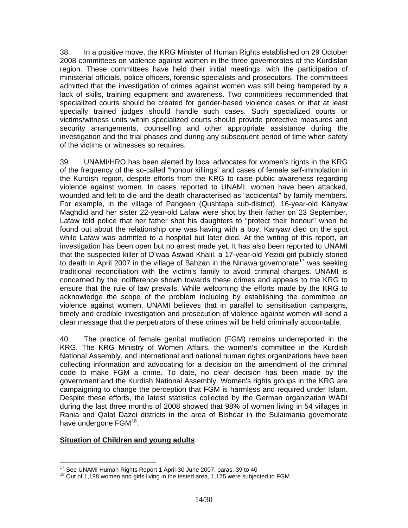38. In a positive move, the KRG Minister of Human Rights established on 29 October 2008 committees on violence against women in the three governorates of the Kurdistan region. These committees have held their initial meetings, with the participation of ministerial officials, police officers, forensic specialists and prosecutors. The committees admitted that the investigation of crimes against women was still being hampered by a lack of skills, training equipment and awareness. Two committees recommended that specialized courts should be created for gender-based violence cases or that at least specially trained judges should handle such cases. Such specialized courts or victims/witness units within specialized courts should provide protective measures and security arrangements, counselling and other appropriate assistance during the investigation and the trial phases and during any subsequent period of time when safety of the victims or witnesses so requires.

39. UNAMI/HRO has been alerted by local advocates for women's rights in the KRG of the frequency of the so-called "honour killings" and cases of female self-immolation in the Kurdish region, despite efforts from the KRG to raise public awareness regarding violence against women. In cases reported to UNAMI, women have been attacked, wounded and left to die and the death characterised as "accidental" by family members. For example, in the village of Pangeen (Qushtapa sub-district), 16-year-old Kanyaw Maghdid and her sister 22-year-old Lafaw were shot by their father on 23 September. Lafaw told police that her father shot his daughters to "protect their honour" when he found out about the relationship one was having with a boy. Kanyaw died on the spot while Lafaw was admitted to a hospital but later died. At the writing of this report, an investigation has been open but no arrest made yet. It has also been reported to UNAMI that the suspected killer of D'waa Aswad Khalil, a 17-year-old Yezidi girl publicly stoned to death in April 2007 in the village of Bahzan in the Ninawa governorate<sup>[17](#page-13-0)</sup> was seeking traditional reconciliation with the victim's family to avoid criminal charges. UNAMI is concerned by the indifference shown towards these crimes and appeals to the KRG to ensure that the rule of law prevails. While welcoming the efforts made by the KRG to acknowledge the scope of the problem including by establishing the committee on violence against women, UNAMI believes that in parallel to sensitisation campaigns, timely and credible investigation and prosecution of violence against women will send a clear message that the perpetrators of these crimes will be held criminally accountable.

40. The practice of female genital mutilation (FGM) remains underreported in the KRG. The KRG Ministry of Women Affairs, the women's committee in the Kurdish National Assembly, and international and national human rights organizations have been collecting information and advocating for a decision on the amendment of the criminal code to make FGM a crime. To date, no clear decision has been made by the government and the Kurdish National Assembly. Women's rights groups in the KRG are campaigning to change the perception that FGM is harmless and required under Islam. Despite these efforts, the latest statistics collected by the German organization WADI during the last three months of 2008 showed that 98% of women living in 54 villages in Rania and Qalat Dazei districts in the area of Bishdar in the Sulaimania governorate have undergone FGM<sup>[18](#page-13-1)</sup>.

#### **Situation of Children and young adults**

<sup>&</sup>lt;sup>17</sup> See UNAMI Human Rights Report 1 April-30 June 2007, paras. 39 to 40

<span id="page-13-1"></span><span id="page-13-0"></span> $18$  Out of 1,198 women and girls living in the tested area, 1,175 were subjected to FGM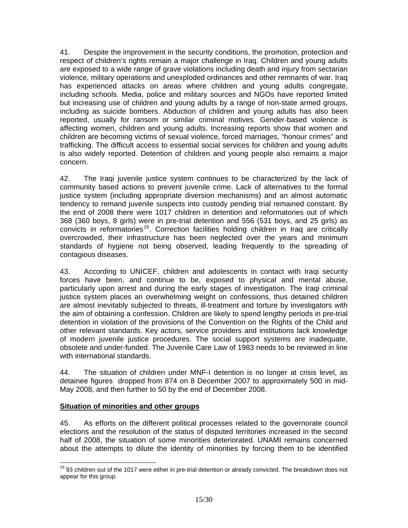41. Despite the improvement in the security conditions, the promotion, protection and respect of children's rights remain a major challenge in Iraq. Children and young adults are exposed to a wide range of grave violations including death and injury from sectarian violence, military operations and unexploded ordinances and other remnants of war. Iraq has experienced attacks on areas where children and young adults congregate, including schools. Media, police and military sources and NGOs have reported limited but increasing use of children and young adults by a range of non-state armed groups, including as suicide bombers. Abduction of children and young adults has also been reported, usually for ransom or similar criminal motives. Gender-based violence is affecting women, children and young adults. Increasing reports show that women and children are becoming victims of sexual violence, forced marriages, "honour crimes" and trafficking. The difficult access to essential social services for children and young adults is also widely reported. Detention of children and young people also remains a major concern.

42. The Iraqi juvenile justice system continues to be characterized by the lack of community based actions to prevent juvenile crime. Lack of alternatives to the formal justice system (including appropriate diversion mechanisms) and an almost automatic tendency to remand juvenile suspects into custody pending trial remained constant. By the end of 2008 there were 1017 children in detention and reformatories out of which 368 (360 boys, 8 girls) were in pre-trial detention and 556 (531 boys, and 25 girls) as convicts in reformatories<sup>[19](#page-14-0)</sup>. Correction facilities holding children in Iraq are critically overcrowded, their infrastructure has been neglected over the years and minimum standards of hygiene not being observed, leading frequently to the spreading of contagious diseases.

43. According to UNICEF, children and adolescents in contact with Iraqi security forces have been, and continue to be, exposed to physical and mental abuse, particularly upon arrest and during the early stages of investigation. The Iraqi criminal justice system places an overwhelming weight on confessions, thus detained children are almost inevitably subjected to threats, ill-treatment and torture by investigators with the aim of obtaining a confession. Children are likely to spend lengthy periods in pre-trial detention in violation of the provisions of the Convention on the Rights of the Child and other relevant standards. Key actors, service providers and institutions lack knowledge of modern juvenile justice procedures. The social support systems are inadequate, obsolete and under-funded. The Juvenile Care Law of 1983 needs to be reviewed in line with international standards.

44. The situation of children under MNF-I detention is no longer at crisis level, as detainee figures dropped from 874 on 8 December 2007 to approximately 500 in mid-May 2008, and then further to 50 by the end of December 2008.

### **Situation of minorities and other groups**

45. As efforts on the different political processes related to the governorate council elections and the resolution of the status of disputed territories increased in the second half of 2008, the situation of some minorities deteriorated. UNAMI remains concerned about the attempts to dilute the identity of minorities by forcing them to be identified

<span id="page-14-0"></span> $\overline{a}$ <sup>19</sup> 93 children out of the 1017 were either in pre-trial detention or already convicted. The breakdown does not appear for this group.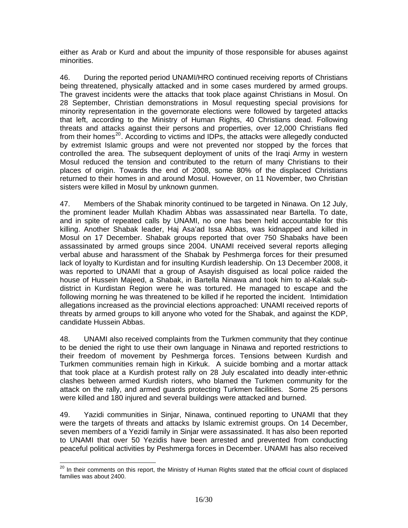either as Arab or Kurd and about the impunity of those responsible for abuses against minorities.

46. During the reported period UNAMI/HRO continued receiving reports of Christians being threatened, physically attacked and in some cases murdered by armed groups. The gravest incidents were the attacks that took place against Christians in Mosul. On 28 September, Christian demonstrations in Mosul requesting special provisions for minority representation in the governorate elections were followed by targeted attacks that left, according to the Ministry of Human Rights, 40 Christians dead. Following threats and attacks against their persons and properties, over 12,000 Christians fled from their homes<sup>[20](#page-15-0)</sup>. According to victims and IDPs, the attacks were allegedly conducted by extremist Islamic groups and were not prevented nor stopped by the forces that controlled the area. The subsequent deployment of units of the Iraqi Army in western Mosul reduced the tension and contributed to the return of many Christians to their places of origin. Towards the end of 2008, some 80% of the displaced Christians returned to their homes in and around Mosul. However, on 11 November, two Christian sisters were killed in Mosul by unknown gunmen.

47. Members of the Shabak minority continued to be targeted in Ninawa. On 12 July, the prominent leader Mullah Khadim Abbas was assassinated near Bartella. To date, and in spite of repeated calls by UNAMI, no one has been held accountable for this killing. Another Shabak leader, Haj Asa'ad Issa Abbas, was kidnapped and killed in Mosul on 17 December. Shabak groups reported that over 750 Shabaks have been assassinated by armed groups since 2004. UNAMI received several reports alleging verbal abuse and harassment of the Shabak by Peshmerga forces for their presumed lack of loyalty to Kurdistan and for insulting Kurdish leadership. On 13 December 2008, it was reported to UNAMI that a group of Asayish disguised as local police raided the house of Hussein Majeed, a Shabak, in Bartella Ninawa and took him to al-Kalak subdistrict in Kurdistan Region were he was tortured. He managed to escape and the following morning he was threatened to be killed if he reported the incident. Intimidation allegations increased as the provincial elections approached: UNAMI received reports of threats by armed groups to kill anyone who voted for the Shabak, and against the KDP, candidate Hussein Abbas.

48. UNAMI also received complaints from the Turkmen community that they continue to be denied the right to use their own language in Ninawa and reported restrictions to their freedom of movement by Peshmerga forces. Tensions between Kurdish and Turkmen communities remain high in Kirkuk. A suicide bombing and a mortar attack that took place at a Kurdish protest rally on 28 July escalated into deadly inter-ethnic clashes between armed Kurdish rioters, who blamed the Turkmen community for the attack on the rally, and armed guards protecting Turkmen facilities. Some 25 persons were killed and 180 injured and several buildings were attacked and burned.

49. Yazidi communities in Sinjar, Ninawa, continued reporting to UNAMI that they were the targets of threats and attacks by Islamic extremist groups. On 14 December, seven members of a Yezidi family in Sinjar were assassinated. It has also been reported to UNAMI that over 50 Yezidis have been arrested and prevented from conducting peaceful political activities by Peshmerga forces in December. UNAMI has also received

<span id="page-15-0"></span> $\overline{a}$ <sup>20</sup> In their comments on this report, the Ministry of Human Rights stated that the official count of displaced families was about 2400.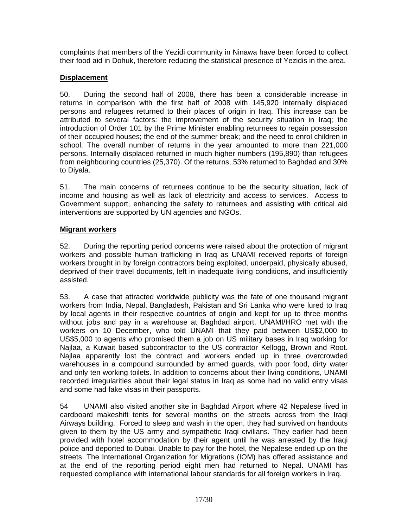complaints that members of the Yezidi community in Ninawa have been forced to collect their food aid in Dohuk, therefore reducing the statistical presence of Yezidis in the area.

# **Displacement**

50. During the second half of 2008, there has been a considerable increase in returns in comparison with the first half of 2008 with 145,920 internally displaced persons and refugees returned to their places of origin in Iraq. This increase can be attributed to several factors: the improvement of the security situation in Iraq; the introduction of Order 101 by the Prime Minister enabling returnees to regain possession of their occupied houses; the end of the summer break; and the need to enrol children in school. The overall number of returns in the year amounted to more than 221,000 persons. Internally displaced returned in much higher numbers (195,890) than refugees from neighbouring countries (25,370). Of the returns, 53% returned to Baghdad and 30% to Diyala.

51. The main concerns of returnees continue to be the security situation, lack of income and housing as well as lack of electricity and access to services. Access to Government support, enhancing the safety to returnees and assisting with critical aid interventions are supported by UN agencies and NGOs.

# **Migrant workers**

52. During the reporting period concerns were raised about the protection of migrant workers and possible human trafficking in Iraq as UNAMI received reports of foreign workers brought in by foreign contractors being exploited, underpaid, physically abused, deprived of their travel documents, left in inadequate living conditions, and insufficiently assisted.

53. A case that attracted worldwide publicity was the fate of one thousand migrant workers from India, Nepal, Bangladesh, Pakistan and Sri Lanka who were lured to Iraq by local agents in their respective countries of origin and kept for up to three months without jobs and pay in a warehouse at Baghdad airport. UNAMI/HRO met with the workers on 10 December, who told UNAMI that they paid between US\$2,000 to US\$5,000 to agents who promised them a job on US military bases in Iraq working for Najlaa, a Kuwait based subcontractor to the US contractor Kellogg, Brown and Root. Najlaa apparently lost the contract and workers ended up in three overcrowded warehouses in a compound surrounded by armed guards, with poor food, dirty water and only ten working toilets. In addition to concerns about their living conditions, UNAMI recorded irregularities about their legal status in Iraq as some had no valid entry visas and some had fake visas in their passports.

54 UNAMI also visited another site in Baghdad Airport where 42 Nepalese lived in cardboard makeshift tents for several months on the streets across from the Iraqi Airways building. Forced to sleep and wash in the open, they had survived on handouts given to them by the US army and sympathetic Iraqi civilians. They earlier had been provided with hotel accommodation by their agent until he was arrested by the Iraqi police and deported to Dubai. Unable to pay for the hotel, the Nepalese ended up on the streets. The International Organization for Migrations (IOM) has offered assistance and at the end of the reporting period eight men had returned to Nepal. UNAMI has requested compliance with international labour standards for all foreign workers in Iraq.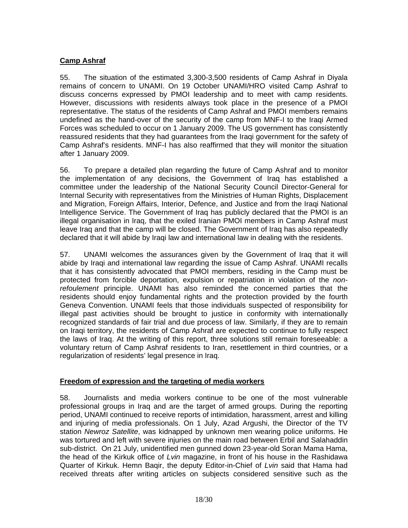### **Camp Ashraf**

55. The situation of the estimated 3,300-3,500 residents of Camp Ashraf in Diyala remains of concern to UNAMI. On 19 October UNAMI/HRO visited Camp Ashraf to discuss concerns expressed by PMOI leadership and to meet with camp residents. However, discussions with residents always took place in the presence of a PMOI representative. The status of the residents of Camp Ashraf and PMOI members remains undefined as the hand-over of the security of the camp from MNF-I to the Iraqi Armed Forces was scheduled to occur on 1 January 2009. The US government has consistently reassured residents that they had guarantees from the Iraqi government for the safety of Camp Ashraf's residents. MNF-I has also reaffirmed that they will monitor the situation after 1 January 2009.

56. To prepare a detailed plan regarding the future of Camp Ashraf and to monitor the implementation of any decisions, the Government of Iraq has established a committee under the leadership of the National Security Council Director-General for Internal Security with representatives from the Ministries of Human Rights, Displacement and Migration, Foreign Affairs, Interior, Defence, and Justice and from the Iraqi National Intelligence Service. The Government of Iraq has publicly declared that the PMOI is an illegal organisation in Iraq, that the exiled Iranian PMOI members in Camp Ashraf must leave Iraq and that the camp will be closed. The Government of Iraq has also repeatedly declared that it will abide by Iraqi law and international law in dealing with the residents.

57. UNAMI welcomes the assurances given by the Government of Iraq that it will abide by Iraqi and international law regarding the issue of Camp Ashraf. UNAMI recalls that it has consistently advocated that PMOI members, residing in the Camp must be protected from forcible deportation, expulsion or repatriation in violation of the *nonrefoulement* principle. UNAMI has also reminded the concerned parties that the residents should enjoy fundamental rights and the protection provided by the fourth Geneva Convention. UNAMI feels that those individuals suspected of responsibility for illegal past activities should be brought to justice in conformity with internationally recognized standards of fair trial and due process of law. Similarly, if they are to remain on Iraqi territory, the residents of Camp Ashraf are expected to continue to fully respect the laws of Iraq. At the writing of this report, three solutions still remain foreseeable: a voluntary return of Camp Ashraf residents to Iran, resettlement in third countries, or a regularization of residents' legal presence in Iraq.

### **Freedom of expression and the targeting of media workers**

58. Journalists and media workers continue to be one of the most vulnerable professional groups in Iraq and are the target of armed groups. During the reporting period, UNAMI continued to receive reports of intimidation, harassment, arrest and killing and injuring of media professionals. On 1 July, Azad Argushi, the Director of the TV station *Newroz Satellite*, was kidnapped by unknown men wearing police uniforms. He was tortured and left with severe injuries on the main road between Erbil and Salahaddin sub-district. On 21 July, unidentified men gunned down 23-year-old Soran Mama Hama, the head of the Kirkuk office of *Lvin* magazine, in front of his house in the Rashidawa Quarter of Kirkuk. Hemn Baqir, the deputy Editor-in-Chief of *Lvin* said that Hama had received threats after writing articles on subjects considered sensitive such as the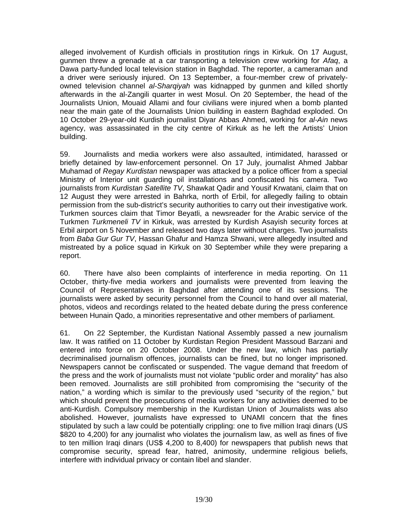alleged involvement of Kurdish officials in prostitution rings in Kirkuk. On 17 August, gunmen threw a grenade at a car transporting a television crew working for *Afaq*, a Dawa party-funded local television station in Baghdad. The reporter, a cameraman and a driver were seriously injured. On 13 September, [a four-member crew](http://www.africasia.com/services/news/newsitem.php?area=mideast&item=080913115713.lh8bs3kd.php) of privatelyowned television channel *al-Sharqiyah* was kidnapped by gunmen and killed shortly afterwards in the al-Zangili quarter in west Mosul. On 20 September, the head of the Journalists Union, Mouaid Allami and four civilians were injured when a bomb planted near the main gate of the Journalists Union building in eastern Baghdad exploded. On 10 October 29-year-old Kurdish journalist Diyar Abbas Ahmed, working for *al-Ain* news agency, was assassinated in the city centre of Kirkuk as he left the Artists' Union building.

59. Journalists and media workers were also assaulted, intimidated, harassed or briefly detained by law-enforcement personnel. On 17 July, journalist Ahmed Jabbar Muhamad of *Regay Kurdistan* newspaper was attacked by a police officer from a special Ministry of Interior unit guarding oil installations and confiscated his camera. Two journalists from *Kurdistan Satellite TV*, Shawkat Qadir and Yousif Krwatani, claim that on 12 August they were arrested in Bahrka, north of Erbil, for allegedly failing to obtain permission from the sub-district's security authorities to carry out their investigative work. Turkmen sources claim that Timor Beyatli, a newsreader for the Arabic service of the Turkmen *Turkmeneli TV* in Kirkuk, was arrested by Kurdish Asayish security forces at Erbil airport on 5 November and released two days later without charges. Two journalists from *Baba Gur Gur TV*, Hassan Ghafur and Hamza Shwani, were allegedly insulted and mistreated by a police squad in Kirkuk on 30 September while they were preparing a report.

60. There have also been complaints of interference in media reporting. On 11 October, thirty-five media workers and journalists were prevented from leaving the Council of Representatives in Baghdad after attending one of its sessions. The journalists were asked by security personnel from the Council to hand over all material, photos, videos and recordings related to the heated debate during the press conference between Hunain Qado, a minorities representative and other members of parliament.

61. On 22 September, the Kurdistan National Assembly passed a new journalism law. It was ratified on 11 October by Kurdistan Region President Massoud Barzani and entered into force on 20 October 2008. Under the new law, which has partially decriminalised journalism offences, journalists can be fined, but no longer imprisoned. Newspapers cannot be confiscated or suspended. The vague demand that freedom of the press and the work of journalists must not violate "public order and morality" has also been removed. Journalists are still prohibited from compromising the "security of the nation," a wording which is similar to the previously used "security of the region," but which should prevent the prosecutions of media workers for any activities deemed to be anti-Kurdish. Compulsory membership in the Kurdistan Union of Journalists was also abolished. However, journalists have expressed to UNAMI concern that the fines stipulated by such a law could be potentially crippling: one to five million Iraqi dinars (US \$820 to 4,200) for any journalist who violates the journalism law, as well as fines of five to ten million Iraqi dinars (US\$ 4,200 to 8,400) for newspapers that publish news that compromise security, spread fear, hatred, animosity, undermine religious beliefs, interfere with individual privacy or contain libel and slander.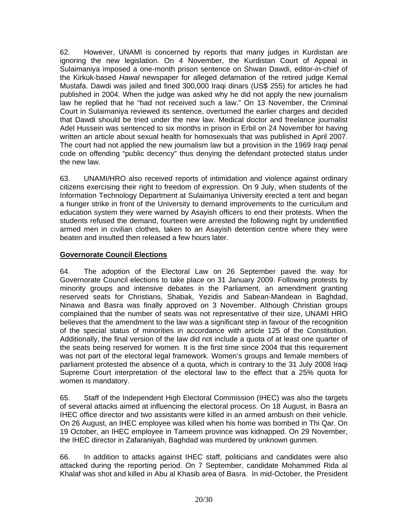62. However, UNAMI is concerned by reports that many judges in Kurdistan are ignoring the new legislation. On 4 November, the Kurdistan Court of Appeal in Sulaimaniya imposed a one-month prison sentence on Shwan Dawdi, editor-in-chief of the Kirkuk-based *Hawal* newspaper for alleged defamation of the retired judge Kemal Mustafa. Dawdi was jailed and fined 300,000 Iraqi dinars (US\$ 255) for articles he had published in 2004. When the judge was asked why he did not apply the new journalism law he replied that he "had not received such a law." On 13 November, the Criminal Court in Sulaimaniya reviewed its sentence, overturned the earlier charges and decided that Dawdi should be tried under the new law. Medical doctor and freelance journalist Adel Hussein was sentenced to six months in prison in Erbil on 24 November for having written an article about sexual health for homosexuals that was published in April 2007. The court had not applied the new journalism law but a provision in the 1969 Iraqi penal code on offending "public decency" thus denying the defendant protected status under the new law.

63. UNAMI/HRO also received reports of intimidation and violence against ordinary citizens exercising their right to freedom of expression. On 9 July, when students of the Information Technology Department at Sulaimaniya University erected a tent and began a hunger strike in front of the University to demand improvements to the curriculum and education system they were warned by Asayish officers to end their protests. When the students refused the demand, fourteen were arrested the following night by unidentified armed men in civilian clothes, taken to an Asayish detention centre where they were beaten and insulted then released a few hours later.

# **Governorate Council Elections**

64. The adoption of the Electoral Law on 26 September paved the way for Governorate Council elections to take place on 31 January 2009. Following protests by minority groups and intensive debates in the Parliament, an amendment granting reserved seats for Christians, Shabak, Yezidis and Sabean-Mandean in Baghdad, Ninawa and Basra was finally approved on 3 November. Although Christian groups complained that the number of seats was not representative of their size, UNAMI HRO believes that the amendment to the law was a significant step in favour of the recognition of the special status of minorities in accordance with article 125 of the Constitution. Additionally, the final version of the law did not include a quota of at least one quarter of the seats being reserved for women. It is the first time since 2004 that this requirement was not part of the electoral legal framework. Women's groups and female members of parliament protested the absence of a quota, which is contrary to the 31 July 2008 Iraqi Supreme Court interpretation of the electoral law to the effect that a 25% quota for women is mandatory.

65. Staff of the Independent High Electoral Commission (IHEC) was also the targets of several attacks aimed at influencing the electoral process. On 18 August, in Basra an IHEC office director and two assistants were killed in an armed ambush on their vehicle. On 26 August, an IHEC employee was killed when his home was bombed in Thi Qar. On 19 October, an IHEC employee in Tameem province was kidnapped. On 29 November, the IHEC director in Zafaraniyah, Baghdad was murdered by unknown gunmen.

66. In addition to attacks against IHEC staff, politicians and candidates were also attacked during the reporting period. On 7 September, candidate Mohammed Rida al Khalaf was shot and killed in Abu al Khasib area of Basra. In mid-October, the President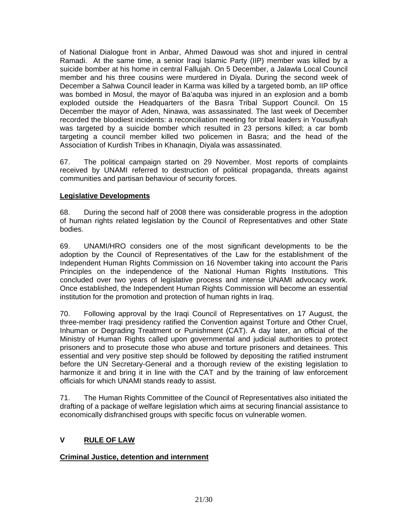of National Dialogue front in Anbar, Ahmed Dawoud was shot and injured in central Ramadi. At the same time, a senior Iraqi Islamic Party (IIP) member was killed by a suicide bomber at his home in central Fallujah. On 5 December, a Jalawla Local Council member and his three cousins were murdered in Diyala. During the second week of December a Sahwa Council leader in Karma was killed by a targeted bomb, an IIP office was bombed in Mosul, the mayor of Ba'aquba was injured in an explosion and a bomb exploded outside the Headquarters of the Basra Tribal Support Council. On 15 December the mayor of Aden, Ninawa, was assassinated. The last week of December recorded the bloodiest incidents: a reconciliation meeting for tribal leaders in Yousufiyah was targeted by a suicide bomber which resulted in 23 persons killed; a car bomb targeting a council member killed two policemen in Basra; and the head of the Association of Kurdish Tribes in Khanaqin, Diyala was assassinated.

67. The political campaign started on 29 November. Most reports of complaints received by UNAMI referred to destruction of political propaganda, threats against communities and partisan behaviour of security forces.

# **Legislative Developments**

68. During the second half of 2008 there was considerable progress in the adoption of human rights related legislation by the Council of Representatives and other State bodies.

69. UNAMI/HRO considers one of the most significant developments to be the adoption by the Council of Representatives of the Law for the establishment of the Independent Human Rights Commission on 16 November taking into account the Paris Principles on the independence of the National Human Rights Institutions. This concluded over two years of legislative process and intense UNAMI advocacy work. Once established, the Independent Human Rights Commission will become an essential institution for the promotion and protection of human rights in Iraq.

70. Following approval by the Iraqi Council of Representatives on 17 August, the three-member Iraqi presidency ratified the Convention against Torture and Other Cruel, Inhuman or Degrading Treatment or Punishment (CAT). A day later, an official of the Ministry of Human Rights called upon governmental and judicial authorities to protect prisoners and to prosecute those who abuse and torture prisoners and detainees. This essential and very positive step should be followed by depositing the ratified instrument before the UN Secretary-General and a thorough review of the existing legislation to harmonize it and bring it in line with the CAT and by the training of law enforcement officials for which UNAMI stands ready to assist.

71. The Human Rights Committee of the Council of Representatives also initiated the drafting of a package of welfare legislation which aims at securing financial assistance to economically disfranchised groups with specific focus on vulnerable women.

# **V RULE OF LAW**

### **Criminal Justice, detention and internment**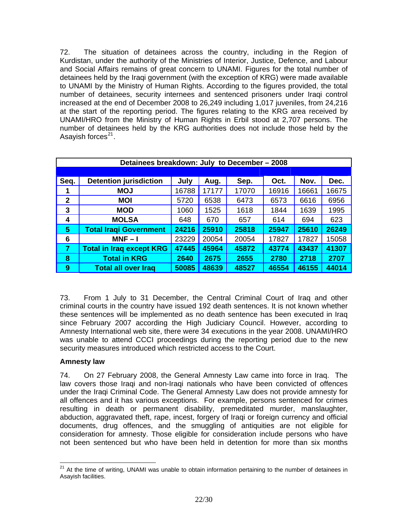72. The situation of detainees across the country, including in the Region of Kurdistan, under the authority of the Ministries of Interior, Justice, Defence, and Labour and Social Affairs remains of great concern to UNAMI. Figures for the total number of detainees held by the Iraqi government (with the exception of KRG) were made available to UNAMI by the Ministry of Human Rights. According to the figures provided, the total number of detainees, security internees and sentenced prisoners under Iraqi control increased at the end of December 2008 to 26,249 including 1,017 juveniles, from 24,216 at the start of the reporting period. The figures relating to the KRG area received by UNAMI/HRO from the Ministry of Human Rights in Erbil stood at 2,707 persons. The number of detainees held by the KRG authorities does not include those held by the Asavish forces $^{21}$  $^{21}$  $^{21}$ .

| Detainees breakdown: July to December - 2008 |                                 |       |       |       |       |       |       |
|----------------------------------------------|---------------------------------|-------|-------|-------|-------|-------|-------|
|                                              |                                 |       |       |       |       |       |       |
| Seq.                                         | <b>Detention jurisdiction</b>   | July  | Aug.  | Sep.  | Oct.  | Nov.  | Dec.  |
|                                              | <b>MOJ</b>                      | 16788 | 17177 | 17070 | 16916 | 16661 | 16675 |
| $\mathbf{2}$                                 | <b>MOI</b>                      | 5720  | 6538  | 6473  | 6573  | 6616  | 6956  |
| 3                                            | <b>MOD</b>                      | 1060  | 1525  | 1618  | 1844  | 1639  | 1995  |
| 4                                            | <b>MOLSA</b>                    | 648   | 670   | 657   | 614   | 694   | 623   |
| 5                                            | <b>Total Iragi Government</b>   | 24216 | 25910 | 25818 | 25947 | 25610 | 26249 |
| 6                                            | $MNF - I$                       | 23229 | 20054 | 20054 | 17827 | 17827 | 15058 |
| 7                                            | <b>Total in Iraq except KRG</b> | 47445 | 45964 | 45872 | 43774 | 43437 | 41307 |
| 8                                            | <b>Total in KRG</b>             | 2640  | 2675  | 2655  | 2780  | 2718  | 2707  |
| 9                                            | <b>Total all over Iraq</b>      | 50085 | 48639 | 48527 | 46554 | 46155 | 44014 |

73. From 1 July to 31 December, the Central Criminal Court of Iraq and other criminal courts in the country have issued 192 death sentences. It is not known whether these sentences will be implemented as no death sentence has been executed in Iraq since February 2007 according the High Judiciary Council. However, according to Amnesty International web site, there were 34 executions in the year 2008. UNAMI/HRO was unable to attend CCCI proceedings during the reporting period due to the new security measures introduced which restricted access to the Court.

### **Amnesty law**

74. On 27 February 2008, the General Amnesty Law came into force in Iraq. The law covers those Iraqi and non-Iraqi nationals who have been convicted of offences under the Iraqi Criminal Code. The General Amnesty Law does not provide amnesty for all offences and it has various exceptions. For example, persons sentenced for crimes resulting in death or permanent disability, premeditated murder, manslaughter, abduction, aggravated theft, rape, incest, forgery of Iraqi or foreign currency and official documents, drug offences, and the smuggling of antiquities are not eligible for consideration for amnesty. Those eligible for consideration include persons who have not been sentenced but who have been held in detention for more than six months

<span id="page-21-0"></span> $\overline{a}$ <sup>21</sup> At the time of writing, UNAMI was unable to obtain information pertaining to the number of detainees in Asayish facilities.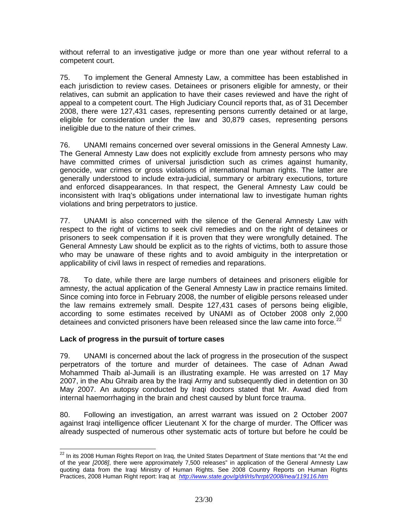without referral to an investigative judge or more than one year without referral to a competent court.

75. To implement the General Amnesty Law, a committee has been established in each jurisdiction to review cases. Detainees or prisoners eligible for amnesty, or their relatives, can submit an application to have their cases reviewed and have the right of appeal to a competent court. The High Judiciary Council reports that, as of 31 December 2008, there were 127,431 cases, representing persons currently detained or at large, eligible for consideration under the law and 30,879 cases, representing persons ineligible due to the nature of their crimes.

76. UNAMI remains concerned over several omissions in the General Amnesty Law. The General Amnesty Law does not explicitly exclude from amnesty persons who may have committed crimes of universal jurisdiction such as crimes against humanity, genocide, war crimes or gross violations of international human rights. The latter are generally understood to include extra-judicial, summary or arbitrary executions, torture and enforced disappearances. In that respect, the General Amnesty Law could be inconsistent with Iraq's obligations under international law to investigate human rights violations and bring perpetrators to justice.

77. UNAMI is also concerned with the silence of the General Amnesty Law with respect to the right of victims to seek civil remedies and on the right of detainees or prisoners to seek compensation if it is proven that they were wrongfully detained. The General Amnesty Law should be explicit as to the rights of victims, both to assure those who may be unaware of these rights and to avoid ambiguity in the interpretation or applicability of civil laws in respect of remedies and reparations.

78. To date, while there are large numbers of detainees and prisoners eligible for amnesty, the actual application of the General Amnesty Law in practice remains limited. Since coming into force in February 2008, the number of eligible persons released under the law remains extremely small. Despite 127,431 cases of persons being eligible, according to some estimates received by UNAMI as of October 2008 only 2,000 detainees and convicted prisoners have been released since the law came into force.<sup>[22](#page-22-0)</sup>

### **Lack of progress in the pursuit of torture cases**

79. UNAMI is concerned about the lack of progress in the prosecution of the suspect perpetrators of the torture and murder of detainees. The case of Adnan Awad Mohammed Thaib al-Jumaili is an illustrating example. He was arrested on 17 May 2007, in the Abu Ghraib area by the Iraqi Army and subsequently died in detention on 30 May 2007. An autopsy conducted by Iraqi doctors stated that Mr. Awad died from internal haemorrhaging in the brain and chest caused by blunt force trauma.

80. Following an investigation, an arrest warrant was issued on 2 October 2007 against Iraqi intelligence officer Lieutenant X for the charge of murder. The Officer was already suspected of numerous other systematic acts of torture but before he could be

<span id="page-22-0"></span>l  $^{22}$  In its 2008 Human Rights Report on Iraq, the United States Department of State mentions that "At the end of the year *[2008]*, there were approximately 7,500 releases" in application of the General Amnesty Law quoting data from the Iraqi Ministry of Human Rights. See 2008 Country Reports on Human Rights Practices, 2008 Human Right report: Iraq at *<http://www.state.gov/g/drl/rls/hrrpt/2008/nea/119116.htm>*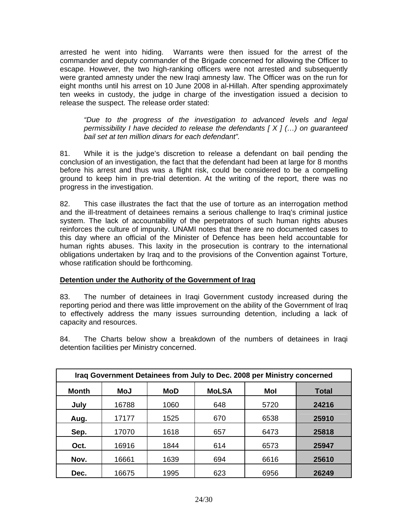arrested he went into hiding. Warrants were then issued for the arrest of the commander and deputy commander of the Brigade concerned for allowing the Officer to escape. However, the two high-ranking officers were not arrested and subsequently were granted amnesty under the new Iraqi amnesty law. The Officer was on the run for eight months until his arrest on 10 June 2008 in al-Hillah. After spending approximately ten weeks in custody, the judge in charge of the investigation issued a decision to release the suspect. The release order stated:

*"Due to the progress of the investigation to advanced levels and legal permissibility I have decided to release the defendants [ X ] (…) on guaranteed bail set at ten million dinars for each defendant".* 

81. While it is the judge's discretion to release a defendant on bail pending the conclusion of an investigation, the fact that the defendant had been at large for 8 months before his arrest and thus was a flight risk, could be considered to be a compelling ground to keep him in pre-trial detention. At the writing of the report, there was no progress in the investigation.

82. This case illustrates the fact that the use of torture as an interrogation method and the ill-treatment of detainees remains a serious challenge to Iraq's criminal justice system. The lack of accountability of the perpetrators of such human rights abuses reinforces the culture of impunity. UNAMI notes that there are no documented cases to this day where an official of the Minister of Defence has been held accountable for human rights abuses. This laxity in the prosecution is contrary to the international obligations undertaken by Iraq and to the provisions of the Convention against Torture, whose ratification should be forthcoming.

### **Detention under the Authority of the Government of Iraq**

83. The number of detainees in Iraqi Government custody increased during the reporting period and there was little improvement on the ability of the Government of Iraq to effectively address the many issues surrounding detention, including a lack of capacity and resources.

84. The Charts below show a breakdown of the numbers of detainees in Iraqi detention facilities per Ministry concerned.

| Iraq Government Detainees from July to Dec. 2008 per Ministry concerned |       |      |              |      |              |  |  |
|-------------------------------------------------------------------------|-------|------|--------------|------|--------------|--|--|
| <b>Month</b>                                                            | MoJ   | MoD  | <b>MoLSA</b> | Mol  | <b>Total</b> |  |  |
| July                                                                    | 16788 | 1060 | 648          | 5720 | 24216        |  |  |
| Aug.                                                                    | 17177 | 1525 | 670          | 6538 | 25910        |  |  |
| Sep.                                                                    | 17070 | 1618 | 657          | 6473 | 25818        |  |  |
| Oct.                                                                    | 16916 | 1844 | 614          | 6573 | 25947        |  |  |
| Nov.                                                                    | 16661 | 1639 | 694          | 6616 | 25610        |  |  |
| Dec.                                                                    | 16675 | 1995 | 623          | 6956 | 26249        |  |  |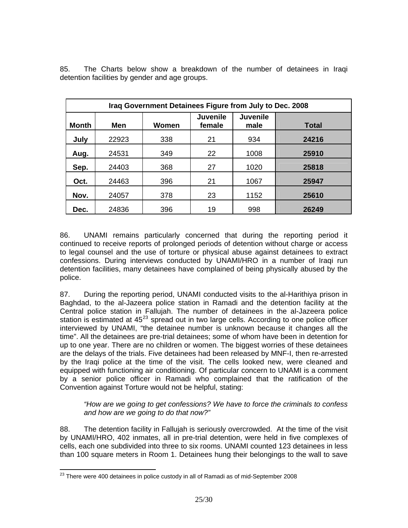| Iraq Government Detainees Figure from July to Dec. 2008 |       |       |                           |                         |       |  |  |
|---------------------------------------------------------|-------|-------|---------------------------|-------------------------|-------|--|--|
| Month                                                   | Men   | Women | <b>Juvenile</b><br>female | <b>Juvenile</b><br>male | Total |  |  |
| July                                                    | 22923 | 338   | 21                        | 934                     | 24216 |  |  |
| Aug.                                                    | 24531 | 349   | 22                        | 1008                    | 25910 |  |  |
| Sep.                                                    | 24403 | 368   | 27                        | 1020                    | 25818 |  |  |
| Oct.                                                    | 24463 | 396   | 21                        | 1067                    | 25947 |  |  |
| Nov.                                                    | 24057 | 378   | 23                        | 1152                    | 25610 |  |  |
| Dec.                                                    | 24836 | 396   | 19                        | 998                     | 26249 |  |  |

85. The Charts below show a breakdown of the number of detainees in Iraqi detention facilities by gender and age groups.

86. UNAMI remains particularly concerned that during the reporting period it continued to receive reports of prolonged periods of detention without charge or access to legal counsel and the use of torture or physical abuse against detainees to extract confessions. During interviews conducted by UNAMI/HRO in a number of Iraqi run detention facilities, many detainees have complained of being physically abused by the police.

87. During the reporting period, UNAMI conducted visits to the al-Harithiya prison in Baghdad, to the al-Jazeera police station in Ramadi and the detention facility at the Central police station in Fallujah. The number of detainees in the al-Jazeera police station is estimated at  $45^{23}$  $45^{23}$  $45^{23}$  spread out in two large cells. According to one police officer interviewed by UNAMI, "the detainee number is unknown because it changes all the time". All the detainees are pre-trial detainees; some of whom have been in detention for up to one year. There are no children or women. The biggest worries of these detainees are the delays of the trials. Five detainees had been released by MNF-I, then re-arrested by the Iraqi police at the time of the visit. The cells looked new, were cleaned and equipped with functioning air conditioning. Of particular concern to UNAMI is a comment by a senior police officer in Ramadi who complained that the ratification of the Convention against Torture would not be helpful, stating:

*"How are we going to get confessions? We have to force the criminals to confess and how are we going to do that now?"*

88. The detention facility in Fallujah is seriously overcrowded. At the time of the visit by UNAMI/HRO, 402 inmates, all in pre-trial detention, were held in five complexes of cells, each one subdivided into three to six rooms. UNAMI counted 123 detainees in less than 100 square meters in Room 1. Detainees hung their belongings to the wall to save

<span id="page-24-0"></span>  $^{23}$  There were 400 detainees in police custody in all of Ramadi as of mid-September 2008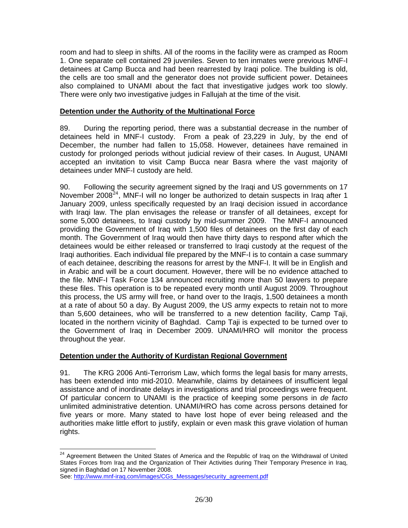room and had to sleep in shifts. All of the rooms in the facility were as cramped as Room 1. One separate cell contained 29 juveniles. Seven to ten inmates were previous MNF-I detainees at Camp Bucca and had been rearrested by Iraqi police. The building is old, the cells are too small and the generator does not provide sufficient power. Detainees also complained to UNAMI about the fact that investigative judges work too slowly. There were only two investigative judges in Fallujah at the time of the visit.

### **Detention under the Authority of the Multinational Force**

89. During the reporting period, there was a substantial decrease in the number of detainees held in MNF-I custody. From a peak of 23,229 in July, by the end of December, the number had fallen to 15,058. However, detainees have remained in custody for prolonged periods without judicial review of their cases. In August, UNAMI accepted an invitation to visit Camp Bucca near Basra where the vast majority of detainees under MNF-I custody are held.

90. Following the security agreement signed by the Iraqi and US governments on 17 November 2008 $^{24}$  $^{24}$  $^{24}$ , MNF-I will no longer be authorized to detain suspects in Iraq after 1 January 2009, unless specifically requested by an Iraqi decision issued in accordance with Iraqi law. The plan envisages the release or transfer of all detainees, except for some 5,000 detainees, to Iraqi custody by mid-summer 2009. The MNF-I announced providing the Government of Iraq with 1,500 files of detainees on the first day of each month. The Government of Iraq would then have thirty days to respond after which the detainees would be either released or transferred to Iraqi custody at the request of the Iraqi authorities. Each individual file prepared by the MNF-I is to contain a case summary of each detainee, describing the reasons for arrest by the MNF-I. It will be in English and in Arabic and will be a court document. However, there will be no evidence attached to the file. MNF-I Task Force 134 announced recruiting more than 50 lawyers to prepare these files. This operation is to be repeated every month until August 2009. Throughout this process, the US army will free, or hand over to the Iraqis, 1,500 detainees a month at a rate of about 50 a day. By August 2009, the US army expects to retain not to more than 5,600 detainees, who will be transferred to a new detention facility, Camp Taji, located in the northern vicinity of Baghdad. Camp Taji is expected to be turned over to the Government of Iraq in December 2009. UNAMI/HRO will monitor the process throughout the year.

### **Detention under the Authority of Kurdistan Regional Government**

91. The KRG 2006 Anti-Terrorism Law, which forms the legal basis for many arrests, has been extended into mid-2010. Meanwhile, claims by detainees of insufficient legal assistance and of inordinate delays in investigations and trial proceedings were frequent. Of particular concern to UNAMI is the practice of keeping some persons in *de facto* unlimited administrative detention. UNAMI/HRO has come across persons detained for five years or more. Many stated to have lost hope of ever being released and the authorities make little effort to justify, explain or even mask this grave violation of human rights.

<span id="page-25-0"></span>l <sup>24</sup> Agreement Between the United States of America and the Republic of Iraq on the Withdrawal of United States Forces from Iraq and the Organization of Their Activities during Their Temporary Presence in Iraq, signed in Baghdad on 17 November 2008.

See: [http://www.mnf-iraq.com/images/CGs\\_Messages/security\\_agreement.pdf](http://www.mnf-iraq.com/images/CGs_Messages/security_agreement.pdf)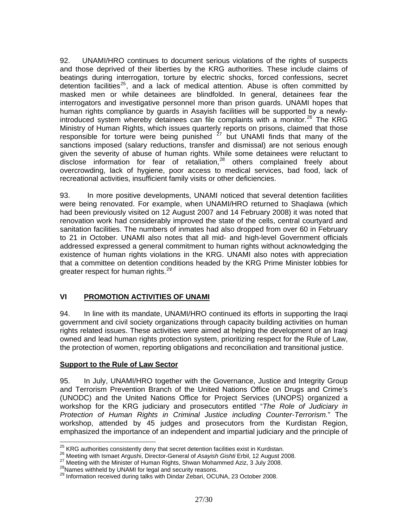92. UNAMI/HRO continues to document serious violations of the rights of suspects and those deprived of their liberties by the KRG authorities. These include claims of beatings during interrogation, torture by electric shocks, forced confessions, secret detention facilities<sup>[25](#page-26-0)</sup>, and a lack of medical attention. Abuse is often committed by masked men or while detainees are blindfolded. In general, detainees fear the interrogators and investigative personnel more than prison guards. UNAMI hopes that human rights compliance by guards in Asayish facilities will be supported by a newlyintroduced system whereby detainees can file complaints with a monitor. $^{26}$  $^{26}$  $^{26}$  The KRG Ministry of Human Rights, which issues quarterly reports on prisons, claimed that those responsible for torture were being punished  $27$  but UNAMI finds that many of the sanctions imposed (salary reductions, transfer and dismissal) are not serious enough given the severity of abuse of human rights. While some detainees were reluctant to disclose information for fear of retaliation, $28$  others complained freely about overcrowding, lack of hygiene, poor access to medical services, bad food, lack of recreational activities, insufficient family visits or other deficiencies.

93. In more positive developments, UNAMI noticed that several detention facilities were being renovated. For example, when UNAMI/HRO returned to Shaqlawa (which had been previously visited on 12 August 2007 and 14 February 2008) it was noted that renovation work had considerably improved the state of the cells, central courtyard and sanitation facilities. The numbers of inmates had also dropped from over 60 in February to 21 in October. UNAMI also notes that all mid- and high-level Government officials addressed expressed a general commitment to human rights without acknowledging the existence of human rights violations in the KRG. UNAMI also notes with appreciation that a committee on detention conditions headed by the KRG Prime Minister lobbies for greater respect for human rights.<sup>[29](#page-26-4)</sup>

# **VI PROMOTION ACTIVITIES OF UNAMI**

94. In line with its mandate, UNAMI/HRO continued its efforts in supporting the Iraqi government and civil society organizations through capacity building activities on human rights related issues. These activities were aimed at helping the development of an Iraqi owned and lead human rights protection system, prioritizing respect for the Rule of Law, the protection of women, reporting obligations and reconciliation and transitional justice.

# **Support to the Rule of Law Sector**

95. In July, UNAMI/HRO together with the Governance, Justice and Integrity Group and Terrorism Prevention Branch of the United Nations Office on Drugs and Crime's (UNODC) and the United Nations Office for Project Services (UNOPS) organized a workshop for the KRG judiciary and prosecutors entitled "*The Role of Judiciary in Protection of Human Rights in Criminal Justice including Counter-Terrorism.*" The workshop, attended by 45 judges and prosecutors from the Kurdistan Region, emphasized the importance of an independent and impartial judiciary and the principle of

<span id="page-26-0"></span><sup>&</sup>lt;sup>25</sup> KRG authorities consistently deny that secret detention facilities exist in Kurdistan.

<span id="page-26-2"></span><span id="page-26-1"></span><sup>&</sup>lt;sup>26</sup> Meeting with Ismaet Argushi, Director-General of Asayish Gishti Erbil, 12 August 2008.<br><sup>27</sup> Meeting with the Minister of Human Rights, Shwan Mohammed Aziz, 3 July 2008.<br><sup>28</sup> Names withheld by UNAMI for legal and secur

<span id="page-26-4"></span><span id="page-26-3"></span>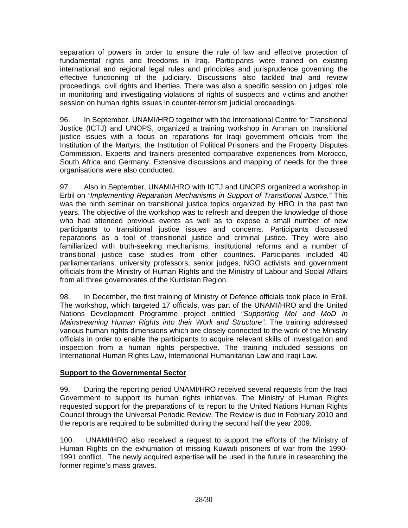separation of powers in order to ensure the rule of law and effective protection of fundamental rights and freedoms in Iraq. Participants were trained on existing international and regional legal rules and principles and jurisprudence governing the effective functioning of the judiciary. Discussions also tackled trial and review proceedings, civil rights and liberties. There was also a specific session on judges' role in monitoring and investigating violations of rights of suspects and victims and another session on human rights issues in counter-terrorism judicial proceedings.

96. In September, UNAMI/HRO together with the International Centre for Transitional Justice (ICTJ) and UNOPS, organized a training workshop in Amman on transitional justice issues with a focus on reparations for Iraqi government officials from the Institution of the Martyrs, the Institution of Political Prisoners and the Property Disputes Commission. Experts and trainers presented comparative experiences from Morocco, South Africa and Germany. Extensive discussions and mapping of needs for the three organisations were also conducted.

97. Also in September, UNAMI/HRO with ICTJ and UNOPS organized a workshop in Erbil on *"Implementing Reparation Mechanisms in Support of Transitional Justice."* This was the ninth seminar on transitional justice topics organized by HRO in the past two years. The objective of the workshop was to refresh and deepen the knowledge of those who had attended previous events as well as to expose a small number of new participants to transitional justice issues and concerns. Participants discussed reparations as a tool of transitional justice and criminal justice. They were also familiarized with truth-seeking mechanisms, institutional reforms and a number of transitional justice case studies from other countries. Participants included 40 parliamentarians, university professors, senior judges, NGO activists and government officials from the Ministry of Human Rights and the Ministry of Labour and Social Affairs from all three governorates of the Kurdistan Region.

98. In December, the first training of Ministry of Defence officials took place in Erbil. The workshop, which targeted 17 officials, was part of the UNAMI/HRO and the United Nations Development Programme project entitled *"Supporting MoI and MoD in Mainstreaming Human Rights into their Work and Structure".* The training addressed various human rights dimensions which are closely connected to the work of the Ministry officials in order to enable the participants to acquire relevant skills of investigation and inspection from a human rights perspective. The training included sessions on International Human Rights Law, International Humanitarian Law and Iraqi Law.

# **Support to the Governmental Sector**

99. During the reporting period UNAMI/HRO received several requests from the Iraqi Government to support its human rights initiatives. The Ministry of Human Rights requested support for the preparations of its report to the United Nations Human Rights Council through the Universal Periodic Review. The Review is due in February 2010 and the reports are required to be submitted during the second half the year 2009.

100. UNAMI/HRO also received a request to support the efforts of the Ministry of Human Rights on the exhumation of missing Kuwaiti prisoners of war from the 1990- 1991 conflict. The newly acquired expertise will be used in the future in researching the former regime's mass graves.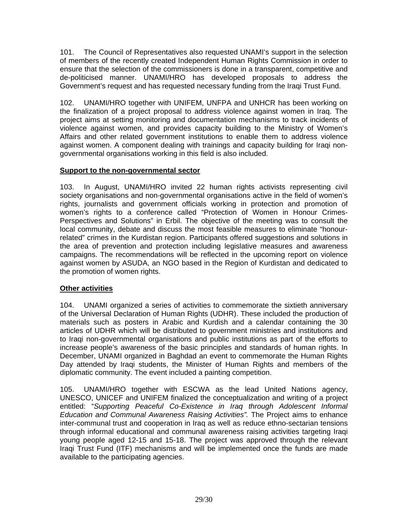101. The Council of Representatives also requested UNAMI's support in the selection of members of the recently created Independent Human Rights Commission in order to ensure that the selection of the commissioners is done in a transparent, competitive and de-politicised manner. UNAMI/HRO has developed proposals to address the Government's request and has requested necessary funding from the Iraqi Trust Fund.

102. UNAMI/HRO together with UNIFEM, UNFPA and UNHCR has been working on the finalization of a project proposal to address violence against women in Iraq. The project aims at setting monitoring and documentation mechanisms to track incidents of violence against women, and provides capacity building to the Ministry of Women's Affairs and other related government institutions to enable them to address violence against women. A component dealing with trainings and capacity building for Iraqi nongovernmental organisations working in this field is also included.

# **Support to the non-governmental sector**

103. In August, UNAMI/HRO invited 22 human rights activists representing civil society organisations and non-governmental organisations active in the field of women's rights, journalists and government officials working in protection and promotion of women's rights to a conference called "Protection of Women in Honour Crimes-Perspectives and Solutions" in Erbil. The objective of the meeting was to consult the local community, debate and discuss the most feasible measures to eliminate "honourrelated" crimes in the Kurdistan region. Participants offered suggestions and solutions in the area of prevention and protection including legislative measures and awareness campaigns. The recommendations will be reflected in the upcoming report on violence against women by ASUDA, an NGO based in the Region of Kurdistan and dedicated to the promotion of women rights.

# **Other activities**

104. UNAMI organized a series of activities to commemorate the sixtieth anniversary of the Universal Declaration of Human Rights (UDHR). These included the production of materials such as posters in Arabic and Kurdish and a calendar containing the 30 articles of UDHR which will be distributed to government ministries and institutions and to Iraqi non-governmental organisations and public institutions as part of the efforts to increase people's awareness of the basic principles and standards of human rights. In December, UNAMI organized in Baghdad an event to commemorate the Human Rights Day attended by Iraqi students, the Minister of Human Rights and members of the diplomatic community. The event included a painting competition.

105. UNAMI/HRO together with ESCWA as the lead United Nations agency, UNESCO, UNICEF and UNIFEM finalized the conceptualization and writing of a project entitled: "*Supporting Peaceful Co-Existence in Iraq through Adolescent Informal Education and Communal Awareness Raising Activities".* The Project aims to enhance inter-communal trust and cooperation in Iraq as well as reduce ethno-sectarian tensions through informal educational and communal awareness raising activities targeting Iraqi young people aged 12-15 and 15-18. The project was approved through the relevant Iraqi Trust Fund (ITF) mechanisms and will be implemented once the funds are made available to the participating agencies.